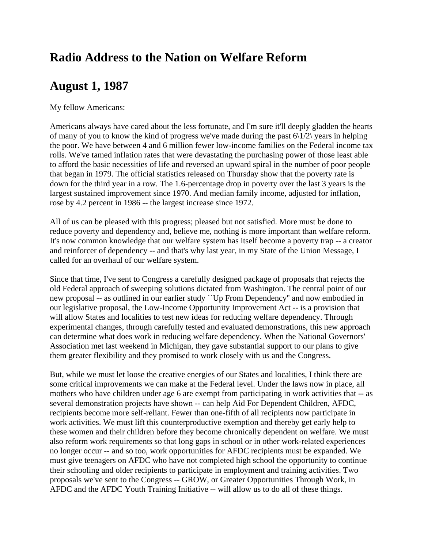## **Radio Address to the Nation on Welfare Reform**

## **August 1, 1987**

My fellow Americans:

Americans always have cared about the less fortunate, and I'm sure it'll deeply gladden the hearts of many of you to know the kind of progress we've made during the past  $6\frac{1}{2}$  years in helping the poor. We have between 4 and 6 million fewer low-income families on the Federal income tax rolls. We've tamed inflation rates that were devastating the purchasing power of those least able to afford the basic necessities of life and reversed an upward spiral in the number of poor people that began in 1979. The official statistics released on Thursday show that the poverty rate is down for the third year in a row. The 1.6-percentage drop in poverty over the last 3 years is the largest sustained improvement since 1970. And median family income, adjusted for inflation, rose by 4.2 percent in 1986 -- the largest increase since 1972.

All of us can be pleased with this progress; pleased but not satisfied. More must be done to reduce poverty and dependency and, believe me, nothing is more important than welfare reform. It's now common knowledge that our welfare system has itself become a poverty trap -- a creator and reinforcer of dependency -- and that's why last year, in my State of the Union Message, I called for an overhaul of our welfare system.

Since that time, I've sent to Congress a carefully designed package of proposals that rejects the old Federal approach of sweeping solutions dictated from Washington. The central point of our new proposal -- as outlined in our earlier study ``Up From Dependency'' and now embodied in our legislative proposal, the Low-Income Opportunity Improvement Act -- is a provision that will allow States and localities to test new ideas for reducing welfare dependency. Through experimental changes, through carefully tested and evaluated demonstrations, this new approach can determine what does work in reducing welfare dependency. When the National Governors' Association met last weekend in Michigan, they gave substantial support to our plans to give them greater flexibility and they promised to work closely with us and the Congress.

But, while we must let loose the creative energies of our States and localities, I think there are some critical improvements we can make at the Federal level. Under the laws now in place, all mothers who have children under age 6 are exempt from participating in work activities that -- as several demonstration projects have shown -- can help Aid For Dependent Children, AFDC, recipients become more self-reliant. Fewer than one-fifth of all recipients now participate in work activities. We must lift this counterproductive exemption and thereby get early help to these women and their children before they become chronically dependent on welfare. We must also reform work requirements so that long gaps in school or in other work-related experiences no longer occur -- and so too, work opportunities for AFDC recipients must be expanded. We must give teenagers on AFDC who have not completed high school the opportunity to continue their schooling and older recipients to participate in employment and training activities. Two proposals we've sent to the Congress -- GROW, or Greater Opportunities Through Work, in AFDC and the AFDC Youth Training Initiative -- will allow us to do all of these things.